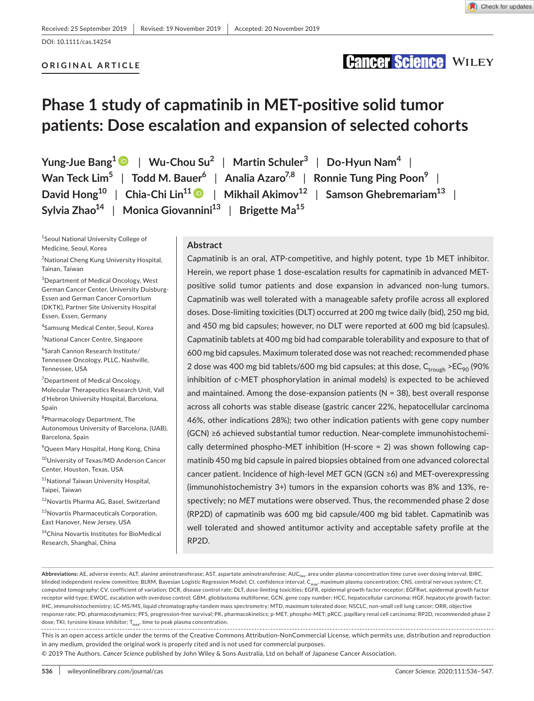**Cancer Science WILEY** 

## DOI: 10.1111/cas.14254

### **ORIGINAL ARTICLE**

# **Phase 1 study of capmatinib in MET-positive solid tumor patients: Dose escalation and expansion of selected cohorts**

**Yung-Jue Bang1** | **Wu-Chou Su2** | **Martin Schuler<sup>3</sup>** | **Do-Hyun Nam<sup>4</sup>** | **Wan Teck Lim5** | **Todd M. Bauer6** | **Analia Azaro7,8** | **Ronnie Tung Ping Poon9** | **David**  $\text{Hom}_{\mathbb{R}}^{10}$  | Chia-Chi  $\text{Lin}^{11}$  | Mikhail Akimov<sup>12</sup> | Samson Ghebremariam<sup>13</sup> | **Sylvia Zhao14** | **Monica Giovannini13** | **Brigette Ma15**

1 Seoul National University College of Medicine, Seoul, Korea

<sup>2</sup>National Cheng Kung University Hospital, Tainan, Taiwan

3 Department of Medical Oncology, West German Cancer Center, University Duisburg-Essen and German Cancer Consortium (DKTK), Partner Site University Hospital Essen, Essen, Germany

4 Samsung Medical Center, Seoul, Korea

5 National Cancer Centre, Singapore

6 Sarah Cannon Research Institute/ Tennessee Oncology, PLLC, Nashville, Tennessee, USA

<sup>7</sup> Department of Medical Oncology, Molecular Therapeutics Research Unit, Vall d'Hebron University Hospital, Barcelona, Spain

<sup>8</sup>Pharmacology Department, The Autonomous University of Barcelona, (UAB), Barcelona, Spain

9 Queen Mary Hospital, Hong Kong, China

<sup>10</sup>University of Texas/MD Anderson Cancer Center, Houston, Texas, USA

11National Taiwan University Hospital, Taipei, Taiwan

<sup>12</sup>Novartis Pharma AG, Basel, Switzerland

<sup>13</sup>Novartis Pharmaceuticals Corporation, East Hanover, New Jersey, USA

<sup>14</sup>China Novartis Institutes for BioMedical Research, Shanghai, China

### **Abstract**

Capmatinib is an oral, ATP-competitive, and highly potent, type 1b MET inhibitor. Herein, we report phase 1 dose-escalation results for capmatinib in advanced METpositive solid tumor patients and dose expansion in advanced non-lung tumors. Capmatinib was well tolerated with a manageable safety profile across all explored doses. Dose-limiting toxicities (DLT) occurred at 200 mg twice daily (bid), 250 mg bid, and 450 mg bid capsules; however, no DLT were reported at 600 mg bid (capsules). Capmatinib tablets at 400 mg bid had comparable tolerability and exposure to that of 600 mg bid capsules. Maximum tolerated dose was not reached; recommended phase 2 dose was 400 mg bid tablets/600 mg bid capsules; at this dose,  $C_{\text{trough}}$  >E $C_{90}$  (90% inhibition of c-MET phosphorylation in animal models) is expected to be achieved and maintained. Among the dose-expansion patients ( $N = 38$ ), best overall response across all cohorts was stable disease (gastric cancer 22%, hepatocellular carcinoma 46%, other indications 28%); two other indication patients with gene copy number (GCN) ≥6 achieved substantial tumor reduction. Near-complete immunohistochemically determined phospho-MET inhibition (H-score = 2) was shown following capmatinib 450 mg bid capsule in paired biopsies obtained from one advanced colorectal cancer patient. Incidence of high-level *MET* GCN (GCN ≥6) and MET-overexpressing (immunohistochemistry 3+) tumors in the expansion cohorts was 8% and 13%, respectively; no *MET* mutations were observed. Thus, the recommended phase 2 dose (RP2D) of capmatinib was 600 mg bid capsule/400 mg bid tablet. Capmatinib was well tolerated and showed antitumor activity and acceptable safety profile at the RP2D.

Abbreviations: AE, adverse events; ALT, alanine aminotransferase; AST, aspartate aminotransferase; AUC<sub>tau</sub>, area under plasma-concentration time curve over dosing interval; BIRC, blinded independent review committee; BLRM, Bayesian Logistic Regression Model; CI, confidence interval; C<sub>max</sub>, maximum plasma concentration; CNS, central nervous system; CT, computed tomography; CV, coefficient of variation; DCR, disease control rate; DLT, dose-limiting toxicities; EGFR, epidermal growth factor receptor; EGFRwt, epidermal growth factor receptor wild-type; EWOC, escalation with overdose control; GBM, glioblastoma multiforme; GCN, gene copy number; HCC, hepatocellular carcinoma; HGF, hepatocyte growth factor; IHC, immunohistochemistry; LC-MS/MS, liquid chromatography-tandem mass spectrometry; MTD, maximum tolerated dose; NSCLC, non-small cell lung cancer; ORR, objective response rate; PD, pharmacodynamics; PFS, progression-free survival; PK, pharmacokinetics; p-MET, phospho-MET; pRCC, papillary renal cell carcinoma; RP2D, recommended phase 2 dose; TKI, tyrosine kinase inhibitor; Tmax, time to peak plasma concentration.

This is an open access article under the terms of the [Creative Commons Attribution-NonCommercial](http://creativecommons.org/licenses/by-nc/4.0/) License, which permits use, distribution and reproduction in any medium, provided the original work is properly cited and is not used for commercial purposes.

© 2019 The Authors. *Cancer Science* published by John Wiley & Sons Australia, Ltd on behalf of Japanese Cancer Association.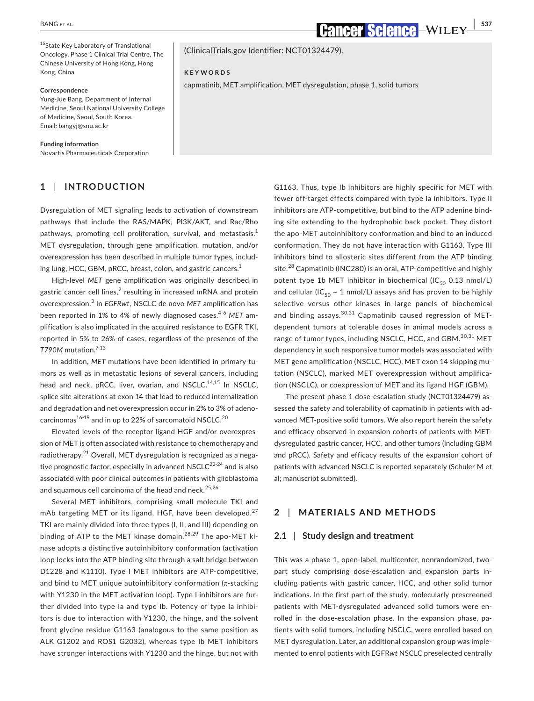<sup>15</sup>State Key Laboratory of Translational Oncology, Phase 1 Clinical Trial Centre, The Chinese University of Hong Kong, Hong Kong, China

### **Correspondence**

Yung-Jue Bang, Department of Internal Medicine, Seoul National University College of Medicine, Seoul, South Korea. Email: [bangyj@snu.ac.kr](mailto:bangyj@snu.ac.kr)

**Funding information**

Novartis Pharmaceuticals Corporation

### **1** | **INTRODUCTION**

Dysregulation of MET signaling leads to activation of downstream pathways that include the RAS/MAPK, PI3K/AKT, and Rac/Rho pathways, promoting cell proliferation, survival, and metastasis.<sup>1</sup> MET dysregulation, through gene amplification, mutation, and/or overexpression has been described in multiple tumor types, including lung, HCC, GBM, pRCC, breast, colon, and gastric cancers.<sup>1</sup>

High-level *MET* gene amplification was originally described in gastric cancer cell lines, $^2$  resulting in increased mRNA and protein overexpression.<sup>3</sup> In *EGFRwt*, NSCLC de novo *MET* amplification has been reported in 1% to 4% of newly diagnosed cases.4-6 *MET* amplification is also implicated in the acquired resistance to EGFR TKI, reported in 5% to 26% of cases, regardless of the presence of the *T790M* mutation.7-13

In addition, *MET* mutations have been identified in primary tumors as well as in metastatic lesions of several cancers, including head and neck, pRCC, liver, ovarian, and NSCLC.<sup>14,15</sup> In NSCLC, splice site alterations at exon 14 that lead to reduced internalization and degradation and net overexpression occur in 2% to 3% of adenocarcinomas $16-19$  and in up to 22% of sarcomatoid NSCLC.<sup>20</sup>

Elevated levels of the receptor ligand HGF and/or overexpression of MET is often associated with resistance to chemotherapy and radiotherapy.<sup>21</sup> Overall, MET dysregulation is recognized as a negative prognostic factor, especially in advanced  $NSCLC<sup>22-24</sup>$  and is also associated with poor clinical outcomes in patients with glioblastoma and squamous cell carcinoma of the head and neck.<sup>25,26</sup>

Several MET inhibitors, comprising small molecule TKI and mAb targeting MET or its ligand, HGF, have been developed. $27$ TKI are mainly divided into three types (I, II, and III) depending on binding of ATP to the MET kinase domain.<sup>28,29</sup> The apo-MET kinase adopts a distinctive autoinhibitory conformation (activation loop locks into the ATP binding site through a salt bridge between D1228 and K1110). Type I MET inhibitors are ATP-competitive, and bind to MET unique autoinhibitory conformation ( $\pi$ -stacking with Y1230 in the MET activation loop). Type I inhibitors are further divided into type Ia and type Ib. Potency of type Ia inhibitors is due to interaction with Y1230, the hinge, and the solvent front glycine residue G1163 (analogous to the same position as ALK G1202 and ROS1 G2032), whereas type Ib MET inhibitors have stronger interactions with Y1230 and the hinge, but not with

(ClinicalTrials.gov Identifier: NCT01324479).

### **KEYWORDS**

capmatinib, MET amplification, MET dysregulation, phase 1, solid tumors

G1163. Thus, type Ib inhibitors are highly specific for MET with fewer off-target effects compared with type Ia inhibitors. Type II inhibitors are ATP-competitive, but bind to the ATP adenine binding site extending to the hydrophobic back pocket. They distort the apo-MET autoinhibitory conformation and bind to an induced conformation. They do not have interaction with G1163. Type III inhibitors bind to allosteric sites different from the ATP binding site.<sup>28</sup> Capmatinib (INC280) is an oral, ATP-competitive and highly potent type 1b MET inhibitor in biochemical (IC $_{50}$  0.13 nmol/L) and cellular (IC<sub>50</sub> ~ 1 nmol/L) assays and has proven to be highly selective versus other kinases in large panels of biochemical and binding assays.<sup>30,31</sup> Capmatinib caused regression of METdependent tumors at tolerable doses in animal models across a range of tumor types, including NSCLC, HCC, and GBM.<sup>30,31</sup> MET dependency in such responsive tumor models was associated with MET gene amplification (NSCLC, HCC), MET exon 14 skipping mutation (NSCLC), marked MET overexpression without amplification (NSCLC), or coexpression of MET and its ligand HGF (GBM).

The present phase 1 dose-escalation study (NCT01324479) assessed the safety and tolerability of capmatinib in patients with advanced MET-positive solid tumors. We also report herein the safety and efficacy observed in expansion cohorts of patients with METdysregulated gastric cancer, HCC, and other tumors (including GBM and pRCC). Safety and efficacy results of the expansion cohort of patients with advanced NSCLC is reported separately (Schuler M et al; manuscript submitted).

### **2** | **MATERIALS AND METHODS**

### **2.1** | **Study design and treatment**

This was a phase 1, open-label, multicenter, nonrandomized, twopart study comprising dose-escalation and expansion parts including patients with gastric cancer, HCC, and other solid tumor indications. In the first part of the study, molecularly prescreened patients with MET-dysregulated advanced solid tumors were enrolled in the dose-escalation phase. In the expansion phase, patients with solid tumors, including NSCLC, were enrolled based on MET dysregulation. Later, an additional expansion group was implemented to enrol patients with EGFR*wt* NSCLC preselected centrally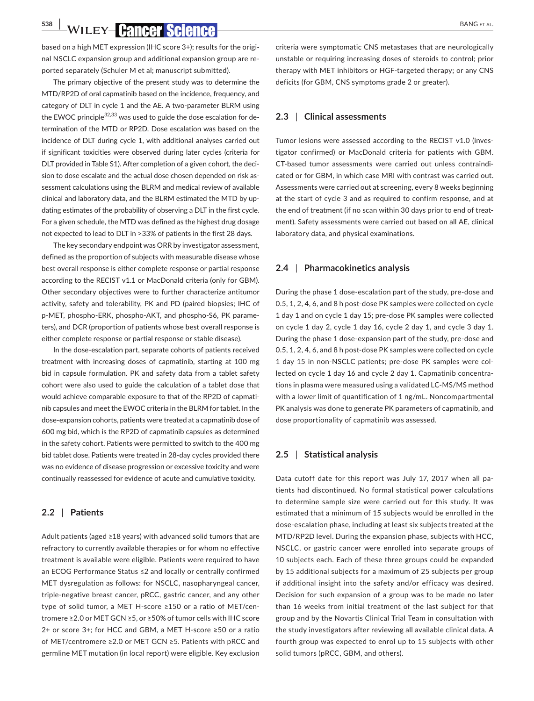**538 WILEY-CANCEY SCIENCE** 

based on a high MET expression (IHC score 3+); results for the original NSCLC expansion group and additional expansion group are reported separately (Schuler M et al; manuscript submitted).

The primary objective of the present study was to determine the MTD/RP2D of oral capmatinib based on the incidence, frequency, and category of DLT in cycle 1 and the AE. A two-parameter BLRM using the EWOC principle $32,33$  was used to guide the dose escalation for determination of the MTD or RP2D. Dose escalation was based on the incidence of DLT during cycle 1, with additional analyses carried out if significant toxicities were observed during later cycles (criteria for DLT provided in Table S1). After completion of a given cohort, the decision to dose escalate and the actual dose chosen depended on risk assessment calculations using the BLRM and medical review of available clinical and laboratory data, and the BLRM estimated the MTD by updating estimates of the probability of observing a DLT in the first cycle. For a given schedule, the MTD was defined as the highest drug dosage not expected to lead to DLT in >33% of patients in the first 28 days.

The key secondary endpoint was ORR by investigator assessment, defined as the proportion of subjects with measurable disease whose best overall response is either complete response or partial response according to the RECIST v1.1 or MacDonald criteria (only for GBM). Other secondary objectives were to further characterize antitumor activity, safety and tolerability, PK and PD (paired biopsies; IHC of p-MET, phospho-ERK, phospho-AKT, and phospho-S6, PK parameters), and DCR (proportion of patients whose best overall response is either complete response or partial response or stable disease).

In the dose-escalation part, separate cohorts of patients received treatment with increasing doses of capmatinib, starting at 100 mg bid in capsule formulation. PK and safety data from a tablet safety cohort were also used to guide the calculation of a tablet dose that would achieve comparable exposure to that of the RP2D of capmatinib capsules and meet the EWOC criteria in the BLRM for tablet. In the dose-expansion cohorts, patients were treated at a capmatinib dose of 600 mg bid, which is the RP2D of capmatinib capsules as determined in the safety cohort. Patients were permitted to switch to the 400 mg bid tablet dose. Patients were treated in 28-day cycles provided there was no evidence of disease progression or excessive toxicity and were continually reassessed for evidence of acute and cumulative toxicity.

### **2.2** | **Patients**

Adult patients (aged ≥18 years) with advanced solid tumors that are refractory to currently available therapies or for whom no effective treatment is available were eligible. Patients were required to have an ECOG Performance Status ≤2 and locally or centrally confirmed MET dysregulation as follows: for NSCLC, nasopharyngeal cancer, triple-negative breast cancer, pRCC, gastric cancer, and any other type of solid tumor, a MET H-score ≥150 or a ratio of MET/centromere ≥2.0 or MET GCN ≥5, or ≥50% of tumor cells with IHC score 2+ or score 3+; for HCC and GBM, a MET H-score ≥50 or a ratio of MET/centromere ≥2.0 or MET GCN ≥5. Patients with pRCC and germline MET mutation (in local report) were eligible. Key exclusion

criteria were symptomatic CNS metastases that are neurologically unstable or requiring increasing doses of steroids to control; prior therapy with MET inhibitors or HGF-targeted therapy; or any CNS deficits (for GBM, CNS symptoms grade 2 or greater).

### **2.3** | **Clinical assessments**

Tumor lesions were assessed according to the RECIST v1.0 (investigator confirmed) or MacDonald criteria for patients with GBM. CT-based tumor assessments were carried out unless contraindicated or for GBM, in which case MRI with contrast was carried out. Assessments were carried out at screening, every 8 weeks beginning at the start of cycle 3 and as required to confirm response, and at the end of treatment (if no scan within 30 days prior to end of treatment). Safety assessments were carried out based on all AE, clinical laboratory data, and physical examinations.

### **2.4** | **Pharmacokinetics analysis**

During the phase 1 dose-escalation part of the study, pre-dose and 0.5, 1, 2, 4, 6, and 8 h post-dose PK samples were collected on cycle 1 day 1 and on cycle 1 day 15; pre-dose PK samples were collected on cycle 1 day 2, cycle 1 day 16, cycle 2 day 1, and cycle 3 day 1. During the phase 1 dose-expansion part of the study, pre-dose and 0.5, 1, 2, 4, 6, and 8 h post-dose PK samples were collected on cycle 1 day 15 in non-NSCLC patients; pre-dose PK samples were collected on cycle 1 day 16 and cycle 2 day 1. Capmatinib concentrations in plasma were measured using a validated LC-MS/MS method with a lower limit of quantification of 1 ng/mL. Noncompartmental PK analysis was done to generate PK parameters of capmatinib, and dose proportionality of capmatinib was assessed.

### **2.5** | **Statistical analysis**

Data cutoff date for this report was July 17, 2017 when all patients had discontinued. No formal statistical power calculations to determine sample size were carried out for this study. It was estimated that a minimum of 15 subjects would be enrolled in the dose-escalation phase, including at least six subjects treated at the MTD/RP2D level. During the expansion phase, subjects with HCC, NSCLC, or gastric cancer were enrolled into separate groups of 10 subjects each. Each of these three groups could be expanded by 15 additional subjects for a maximum of 25 subjects per group if additional insight into the safety and/or efficacy was desired. Decision for such expansion of a group was to be made no later than 16 weeks from initial treatment of the last subject for that group and by the Novartis Clinical Trial Team in consultation with the study investigators after reviewing all available clinical data. A fourth group was expected to enrol up to 15 subjects with other solid tumors (pRCC, GBM, and others).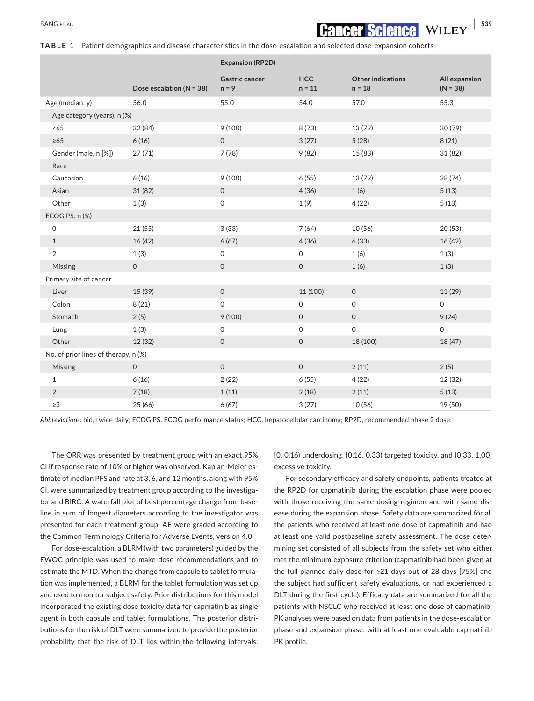**TABLE 1** Patient demographics and disease characteristics in the dose-escalation and selected dose-expansion cohorts

|                                      |                              | <b>Expansion (RP2D)</b>          |                        |                                      |                             |
|--------------------------------------|------------------------------|----------------------------------|------------------------|--------------------------------------|-----------------------------|
|                                      | Dose escalation ( $N = 38$ ) | <b>Gastric cancer</b><br>$n = 9$ | <b>HCC</b><br>$n = 11$ | <b>Other indications</b><br>$n = 18$ | All expansion<br>$(N = 38)$ |
| Age (median, y)                      | 56.0                         | 55.0                             | 54.0                   | 57.0                                 | 55.3                        |
| Age category (years), n (%)          |                              |                                  |                        |                                      |                             |
| <65                                  | 32 (84)                      | 9(100)                           | 8(73)                  | 13 (72)                              | 30 (79)                     |
| $\geq 65$                            | 6(16)                        | $\mathsf{O}\xspace$              | 3(27)                  | 5(28)                                | 8(21)                       |
| Gender (male, n [%])                 | 27(71)                       | 7(78)                            | 9(82)                  | 15 (83)                              | 31 (82)                     |
| Race                                 |                              |                                  |                        |                                      |                             |
| Caucasian                            | 6(16)                        | 9(100)                           | 6(55)                  | 13 (72)                              | 28 (74)                     |
| Asian                                | 31 (82)                      | $\mathsf O$                      | 4(36)                  | 1(6)                                 | 5(13)                       |
| Other                                | 1(3)                         | $\mathsf O$                      | 1(9)                   | 4(22)                                | 5(13)                       |
| ECOG PS, n (%)                       |                              |                                  |                        |                                      |                             |
| 0                                    | 21(55)                       | 3(33)                            | 7(64)                  | 10(56)                               | 20 (53)                     |
| $\mathbf{1}$                         | 16(42)                       | 6(67)                            | 4(36)                  | 6(33)                                | 16 (42)                     |
| $\overline{2}$                       | 1(3)                         | $\mathsf O$                      | 0                      | 1(6)                                 | 1(3)                        |
| Missing                              | $\mathsf O$                  | $\mathsf O$                      | $\mathsf O$            | 1(6)                                 | 1(3)                        |
| Primary site of cancer               |                              |                                  |                        |                                      |                             |
| Liver                                | 15 (39)                      | $\mathsf{O}\xspace$              | 11 (100)               | $\mathsf O$                          | 11 (29)                     |
| Colon                                | 8(21)                        | $\mathsf O$                      | $\mathsf{O}$           | $\mathsf O$                          | 0                           |
| Stomach                              | 2(5)                         | 9(100)                           | $\mathsf{O}$           | $\mathbf 0$                          | 9(24)                       |
| Lung                                 | 1(3)                         | $\mathsf O$                      | $\Omega$               | $\mathsf O$                          | 0                           |
| Other                                | 12(32)                       | $\mathsf O$                      | $\mathsf{O}$           | 18 (100)                             | 18 (47)                     |
| No. of prior lines of therapy, n (%) |                              |                                  |                        |                                      |                             |
| Missing                              | $\mathbf{0}$                 | $\mathsf O$                      | $\mathsf{O}$           | 2(11)                                | 2(5)                        |
| $\mathbf{1}$                         | 6(16)                        | 2(22)                            | 6(55)                  | 4(22)                                | 12 (32)                     |
| $\overline{2}$                       | 7(18)                        | 1(11)                            | 2(18)                  | 2(11)                                | 5(13)                       |
| $\geq$ 3                             | 25(66)                       | 6(67)                            | 3(27)                  | 10(56)                               | 19 (50)                     |

*Abbreviations:* bid, twice daily; ECOG PS, ECOG performance status; HCC, hepatocellular carcinoma; RP2D, recommended phase 2 dose.

The ORR was presented by treatment group with an exact 95% CI if response rate of 10% or higher was observed. Kaplan-Meier estimate of median PFS and rate at 3, 6, and 12 months, along with 95% CI, were summarized by treatment group according to the investigator and BIRC. A waterfall plot of best percentage change from baseline in sum of longest diameters according to the investigator was presented for each treatment group. AE were graded according to the Common Terminology Criteria for Adverse Events, version 4.0.

For dose-escalation, a BLRM (with two parameters) guided by the EWOC principle was used to make dose recommendations and to estimate the MTD. When the change from capsule to tablet formulation was implemented, a BLRM for the tablet formulation was set up and used to monitor subject safety. Prior distributions for this model incorporated the existing dose toxicity data for capmatinib as single agent in both capsule and tablet formulations. The posterior distributions for the risk of DLT were summarized to provide the posterior probability that the risk of DLT lies within the following intervals:

[0, 0.16) underdosing, [0.16, 0.33) targeted toxicity, and [0.33, 1.00] excessive toxicity.

For secondary efficacy and safety endpoints, patients treated at the RP2D for capmatinib during the escalation phase were pooled with those receiving the same dosing regimen and with same disease during the expansion phase. Safety data are summarized for all the patients who received at least one dose of capmatinib and had at least one valid postbaseline safety assessment. The dose determining set consisted of all subjects from the safety set who either met the minimum exposure criterion (capmatinib had been given at the full planned daily dose for ≥21 days out of 28 days [75%] and the subject had sufficient safety evaluations, or had experienced a DLT during the first cycle). Efficacy data are summarized for all the patients with NSCLC who received at least one dose of capmatinib. PK analyses were based on data from patients in the dose-escalation phase and expansion phase, with at least one evaluable capmatinib PK profile.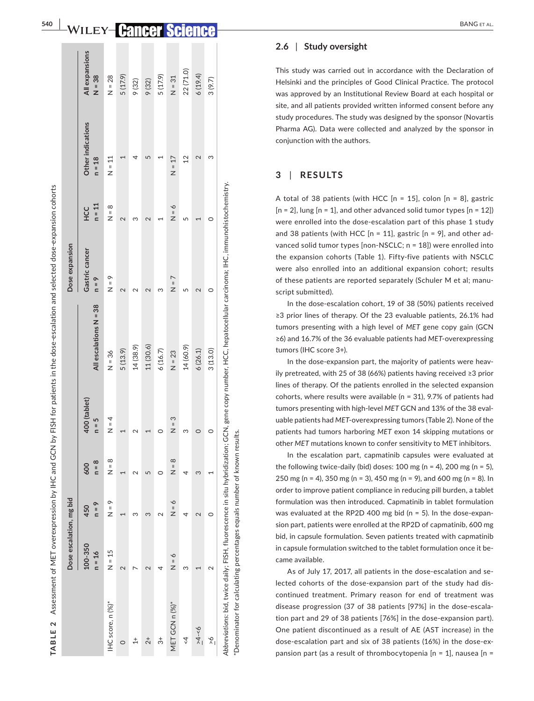|                   | Dose escalation, mg bid |                   |                |                         |                        | Dose expansion            |                        |                               |                             |
|-------------------|-------------------------|-------------------|----------------|-------------------------|------------------------|---------------------------|------------------------|-------------------------------|-----------------------------|
|                   | 100-350<br>$n = 16$     | $h = 9$<br>450    | $n = 8$<br>600 | 400 (tablet)<br>$n = 5$ | All escalations N = 38 | Gastric cancer<br>$n = 9$ | $n = 11$<br><b>HCC</b> | Other indications<br>$n = 18$ | All expansions<br>$88 - 38$ |
| IHC score, n (%)* | $N = 15$                | $\frac{6}{5}$     | $\frac{8}{5}$  | $N = 4$                 | $N = 36$               | $\frac{6}{5} = 8$         | $\frac{8}{5}$          | $N = 11$                      | $N = 28$                    |
| 0                 | 2                       |                   |                |                         | 5(13.9)                | $\sim$                    | $\sim$                 |                               | 5 (17.9)                    |
| $\ddot{+}$        |                         | ო                 | c              | 2                       | 14(38.9)               |                           | ო                      |                               | 9 (32)                      |
| $\frac{1}{2}$     |                         | Σ                 | ഥ              |                         | 11 (30.6)              |                           |                        | ഥ                             | 9 (32)                      |
| $\vec{3}$         |                         | $\mathbf{\Omega}$ | 0              | 0                       | 6(16.7)                | ო                         |                        |                               | 5 (17.9)                    |
| MET GCN n (%)*    | $N = 6$                 | $\delta = N$      | $N = 8$        | $N = 3$                 | $N = 23$               | $N = 7$                   | $N = 6$                | $N = 17$                      | $N = 31$                    |
| $\overset{2}{4}$  | S                       |                   | 4              | ω                       | 14 (60.9)              | LO                        | 5                      | $\overline{2}$                | 22(71.0)                    |
| $-4 - 6$          |                         | $\mathbf 2$       | 3              | $\circ$                 | 6(26.1)                | $\sim$                    |                        | $\mathbf{\Omega}$             | 6(19.4)                     |
| $\frac{6}{1}$     | $\scriptstyle\sim$      | 0                 |                | 0                       | 3(13.0)                | 0                         | $\circ$                | ო                             | 3(9.7)                      |

**| WILEY-Cancer Scien** 

**540** 

#### **2.6**  | **Study oversight**

This study was carried out in accordance with the Declaration of Helsinki and the principles of Good Clinical Practice. The protocol was approved by an Institutional Review Board at each hospital or site, and all patients provided written informed consent before any study procedures. The study was designed by the sponsor (Novartis Pharma AG). Data were collected and analyzed by the sponsor in conjunction with the authors.

#### **3**  | **RESULTS**

A total of 38 patients (with HCC [n = 15], colon [n = 8], gastric  $[n = 2]$ , lung  $[n = 1]$ , and other advanced solid tumor types  $[n = 12]$ were enrolled into the dose-escalation part of this phase 1 study and 38 patients (with HCC [n = 11], gastric [n = 9], and other ad vanced solid tumor types [non-NSCLC; n = 18]) were enrolled into the expansion cohorts (Table 1). Fifty-five patients with NSCLC were also enrolled into an additional expansion cohort; results of these patients are reported separately (Schuler M et al; manu script submitted).

In the dose-escalation cohort, 19 of 38 (50%) patients received ≥3 prior lines of therapy. Of the 23 evaluable patients, 26.1% had tumors presenting with a high level of *MET* gene copy gain (GCN ≥6) and 16.7% of the 36 evaluable patients had *MET*-overexpressing tumors (IHC score 3+).

In the dose-expansion part, the majority of patients were heav ily pretreated, with 25 of 38 (66%) patients having received ≥3 prior lines of therapy. Of the patients enrolled in the selected expansion cohorts, where results were available (n = 31), 9.7% of patients had tumors presenting with high-level *MET* GCN and 13% of the 38 eval uable patients had *MET*-overexpressing tumors (Table 2). None of the patients had tumors harboring *MET* exon 14 skipping mutations or other *MET* mutations known to confer sensitivity to MET inhibitors.

In the escalation part, capmatinib capsules were evaluated at the following twice-daily (bid) doses: 100 mg (n = 4), 200 mg (n = 5), 250 mg (n = 4), 350 mg (n = 3), 450 mg (n = 9), and 600 mg (n = 8). In order to improve patient compliance in reducing pill burden, a tablet formulation was then introduced. Capmatinib in tablet formulation was evaluated at the RP2D 400 mg bid (n = 5). In the dose-expan sion part, patients were enrolled at the RP2D of capmatinib, 600 mg bid, in capsule formulation. Seven patients treated with capmatinib in capsule formulation switched to the tablet formulation once it be came available.

As of July 17, 2017, all patients in the dose-escalation and se lected cohorts of the dose-expansion part of the study had dis continued treatment. Primary reason for end of treatment was disease progression (37 of 38 patients [97%] in the dose-escala tion part and 29 of 38 patients [76%] in the dose-expansion part). One patient discontinued as a result of AE (AST increase) in the dose-escalation part and six of 38 patients (16%) in the dose-ex pansion part (as a result of thrombocytopenia [n = 1], nausea [n =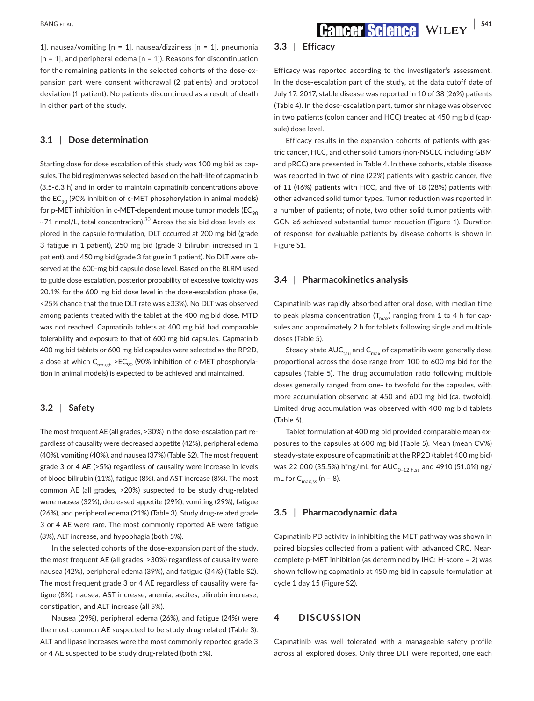1], nausea/vomiting  $[n = 1]$ , nausea/dizziness  $[n = 1]$ , pneumonia  $[n = 1]$ , and peripheral edema  $[n = 1]$ ). Reasons for discontinuation for the remaining patients in the selected cohorts of the dose-expansion part were consent withdrawal (2 patients) and protocol deviation (1 patient). No patients discontinued as a result of death in either part of the study.

### **3.1** | **Dose determination**

Starting dose for dose escalation of this study was 100 mg bid as capsules. The bid regimen was selected based on the half-life of capmatinib (3.5-6.3 h) and in order to maintain capmatinib concentrations above the  $EC_{\infty}$  (90% inhibition of c-MET phosphorylation in animal models) for p-MET inhibition in c-MET-dependent mouse tumor models ( $EC_{90}$  $~\sim$ 71 nmol/L, total concentration).<sup>30</sup> Across the six bid dose levels explored in the capsule formulation, DLT occurred at 200 mg bid (grade 3 fatigue in 1 patient), 250 mg bid (grade 3 bilirubin increased in 1 patient), and 450 mg bid (grade 3 fatigue in 1 patient). No DLT were observed at the 600-mg bid capsule dose level. Based on the BLRM used to guide dose escalation, posterior probability of excessive toxicity was 20.1% for the 600 mg bid dose level in the dose-escalation phase (ie, <25% chance that the true DLT rate was ≥33%). No DLT was observed among patients treated with the tablet at the 400 mg bid dose. MTD was not reached. Capmatinib tablets at 400 mg bid had comparable tolerability and exposure to that of 600 mg bid capsules. Capmatinib 400 mg bid tablets or 600 mg bid capsules were selected as the RP2D, a dose at which  $C_{trough}$  >E $C_{90}$  (90% inhibition of c-MET phosphorylation in animal models) is expected to be achieved and maintained.

### **3.2** | **Safety**

The most frequent AE (all grades, >30%) in the dose-escalation part regardless of causality were decreased appetite (42%), peripheral edema (40%), vomiting (40%), and nausea (37%) (Table S2). The most frequent grade 3 or 4 AE (>5%) regardless of causality were increase in levels of blood bilirubin (11%), fatigue (8%), and AST increase (8%). The most common AE (all grades, >20%) suspected to be study drug-related were nausea (32%), decreased appetite (29%), vomiting (29%), fatigue (26%), and peripheral edema (21%) (Table 3). Study drug-related grade 3 or 4 AE were rare. The most commonly reported AE were fatigue (8%), ALT increase, and hypophagia (both 5%).

In the selected cohorts of the dose-expansion part of the study, the most frequent AE (all grades, >30%) regardless of causality were nausea (42%), peripheral edema (39%), and fatigue (34%) (Table S2). The most frequent grade 3 or 4 AE regardless of causality were fatigue (8%), nausea, AST increase, anemia, ascites, bilirubin increase, constipation, and ALT increase (all 5%).

Nausea (29%), peripheral edema (26%), and fatigue (24%) were the most common AE suspected to be study drug-related (Table 3). ALT and lipase increases were the most commonly reported grade 3 or 4 AE suspected to be study drug-related (both 5%).

### **3.3** | **Efficacy**

Efficacy was reported according to the investigator's assessment. In the dose-escalation part of the study, at the data cutoff date of July 17, 2017, stable disease was reported in 10 of 38 (26%) patients (Table 4). In the dose-escalation part, tumor shrinkage was observed in two patients (colon cancer and HCC) treated at 450 mg bid (capsule) dose level.

Efficacy results in the expansion cohorts of patients with gastric cancer, HCC, and other solid tumors (non-NSCLC including GBM and pRCC) are presented in Table 4. In these cohorts, stable disease was reported in two of nine (22%) patients with gastric cancer, five of 11 (46%) patients with HCC, and five of 18 (28%) patients with other advanced solid tumor types. Tumor reduction was reported in a number of patients; of note, two other solid tumor patients with GCN ≥6 achieved substantial tumor reduction (Figure 1). Duration of response for evaluable patients by disease cohorts is shown in Figure S1.

### **3.4** | **Pharmacokinetics analysis**

Capmatinib was rapidly absorbed after oral dose, with median time to peak plasma concentration  $(T_{max})$  ranging from 1 to 4 h for capsules and approximately 2 h for tablets following single and multiple doses (Table 5).

Steady-state  $AUC_{tau}$  and  $C_{max}$  of capmatinib were generally dose proportional across the dose range from 100 to 600 mg bid for the capsules (Table 5). The drug accumulation ratio following multiple doses generally ranged from one- to twofold for the capsules, with more accumulation observed at 450 and 600 mg bid (ca. twofold). Limited drug accumulation was observed with 400 mg bid tablets (Table 6).

Tablet formulation at 400 mg bid provided comparable mean exposures to the capsules at 600 mg bid (Table 5). Mean (mean CV%) steady-state exposure of capmatinib at the RP2D (tablet 400 mg bid) was 22 000 (35.5%) h\*ng/mL for  $AUC_{0-12 \text{ h.s}}$  and 4910 (51.0%) ng/ mL for  $C_{\text{max}}$  ss (n = 8).

### **3.5** | **Pharmacodynamic data**

Capmatinib PD activity in inhibiting the MET pathway was shown in paired biopsies collected from a patient with advanced CRC. Nearcomplete p-MET inhibition (as determined by IHC; H-score = 2) was shown following capmatinib at 450 mg bid in capsule formulation at cycle 1 day 15 (Figure S2).

### **4** | **DISCUSSION**

Capmatinib was well tolerated with a manageable safety profile across all explored doses. Only three DLT were reported, one each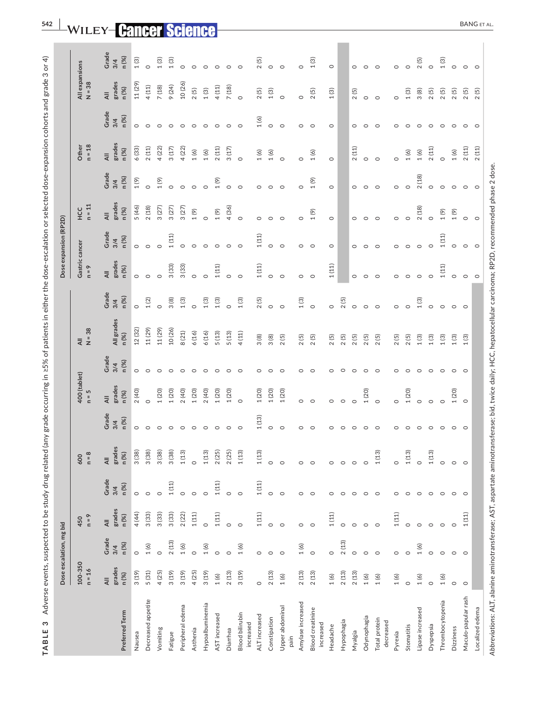| S<br>TABLE                                                                                                                                                      |                                   |                         |                                              |                       | Adverse events, suspected to be study drug related (a |                       |                         |                       | ny grade occurring in ≥5% of patients in either the dose-escalation or selected dose-expansion cohorts and grade 3 or 4) |                       |                                   |                       |                                   |                       |                                   |                       |                                   |                       |
|-----------------------------------------------------------------------------------------------------------------------------------------------------------------|-----------------------------------|-------------------------|----------------------------------------------|-----------------------|-------------------------------------------------------|-----------------------|-------------------------|-----------------------|--------------------------------------------------------------------------------------------------------------------------|-----------------------|-----------------------------------|-----------------------|-----------------------------------|-----------------------|-----------------------------------|-----------------------|-----------------------------------|-----------------------|
|                                                                                                                                                                 |                                   | Dose escalation, mg bid |                                              |                       |                                                       |                       |                         |                       |                                                                                                                          |                       |                                   | Dose expansion (RP2D) |                                   |                       |                                   |                       |                                   |                       |
|                                                                                                                                                                 | 100-350<br>$n = 16$               |                         | $p = n$<br>450                               |                       | $n = 8$<br>600                                        |                       | 400 (tablet)<br>$n = 5$ |                       | $\frac{AB}{N}$ = 38                                                                                                      |                       | Gastric cancer<br>$n = 9$         |                       | $n = 11$<br><b>HCC</b>            |                       | $n = 18$<br>Other                 |                       | All expansions<br>$N = 38$        |                       |
| Preferred Term                                                                                                                                                  | grades<br>n (%)<br>$\overline{4}$ | Grade<br>n (%)<br>3/4   | grades<br>n (%)<br>$\overline{\overline{A}}$ | Grade<br>n (%)<br>3/4 | grades<br>n (%)<br>₹                                  | Grade<br>n (%)<br>3/4 | grades<br>n (%)<br>₹    | Grade<br>n (%)<br>3/4 | All grades<br>n (%)                                                                                                      | Grade<br>n (%)<br>3/4 | grades<br>n (%)<br>$\overline{4}$ | Grade<br>n (%)<br>3/4 | grades<br>n (%)<br>$\overline{4}$ | Grade<br>n (%)<br>3/4 | grades<br>n (%)<br>$\overline{4}$ | Grade<br>n (%)<br>3/4 | grades<br>n (%)<br>$\overline{4}$ | Grade<br>3/4<br>n (%) |
| Nausea                                                                                                                                                          | 3(19)                             | $\circ$                 | 4 (44)                                       | $\circ$               | 3(38)                                                 | $\circ$               | 2(40)                   | $\circ$               | 12(32)                                                                                                                   | $\circ$               | $\circ$                           | $\circ$               | 5 (46)                            | $1(9)$                | 6(33)                             | $\circ$               | 11 (29)                           | $1(3)$                |
| Decreased appetite                                                                                                                                              | 5(31)                             | 1(6)                    | 3(33)                                        | $\circ$               | 3(38)                                                 | $\circ$               | $\circ$                 | $\circ$               | 11 (29)                                                                                                                  | 1(2)                  | $\circ$                           | $\circ$               | $2(18)$                           | $\circ$               | 2(11)                             | $\circ$               | 4(11)                             | $\circ$               |
| Vomiting                                                                                                                                                        | 4 (25)                            | $\circ$                 | 3(33)                                        | $\circ$               | 3(38)                                                 | $\circ$               | 1(20)                   | $\circ$               | 11 (29)                                                                                                                  |                       | $\circ$                           | $\circ$               | 3(27)                             | 1(9)                  | 4(22)                             | $\circ$               | 7(18)                             | $1(3)$                |
| Fatigue                                                                                                                                                         | 3(19)                             | 2(13)                   | 3(33)                                        | $1\ (11)$             | 3(38)                                                 |                       | 1(20)                   | $\circ$               | 10(26)                                                                                                                   | 3(8)                  | 3(33)                             | 1(11)                 | 3(27)                             | $\circ$               | 3(17)                             | $\circ$               | 9(24)                             | $1(3)$                |
| Peripheral edema                                                                                                                                                | 3(19)                             | 1(6)                    | 2(22)                                        | $\circ$               | $1(13)$                                               |                       | 2(40)                   | $\circ$               | $8(21)$                                                                                                                  | $1(3)$                | 3(33)                             |                       | 3(27)                             | $\circ$               | 4(22)                             | $\circ$               | 10(26)                            | $\circ$               |
| Asthenia                                                                                                                                                        | 4(25)                             | $\circ$                 | $1\left( 11\right)$                          | $\circ$               | $\circ$                                               |                       | 1(20)                   | $\circ$               | 6(16)                                                                                                                    | $\circ$               | $\circ$                           | $\circ$               | $1(9)$                            | $\circ$               | $1(6)$                            | $\circ$               | 2(5)                              | $\circ$               |
| Hypoalbuminemia                                                                                                                                                 | 3(19)                             | 1(6)                    | $\circ$                                      | $\circ$               | $1(13)$                                               |                       | 2(40)                   | $\circ$               | 6(16)                                                                                                                    | 1(3)                  | $\circ$                           | $\circ$               | $\circ$                           | $\circ$               | $1(6)$                            | $\circ$               | $1(3)$                            | $\circ$               |
| AST increased                                                                                                                                                   | 1(6)                              | $\circ$                 | $1\left( 11\right)$                          | 1(11)                 | 2(25)                                                 |                       | 1(20)                   | $\circ$               | 5(13)                                                                                                                    | 1(3)                  | $1(11)$                           | $\circ$               | $1(9)$                            | (6)                   | 2(11)                             | $\circ$               | 4(11)                             | $\circ$               |
| Diarrhea                                                                                                                                                        | 2(13)                             | $\circ$                 | $\circ$                                      | $\circ$               | 2(25)                                                 |                       | 1(20)                   | $\circ$               | 5(13)                                                                                                                    | $\circ$               | $\circ$                           | $\circ$               | 4(36)                             | $\circ$               | 3(17)                             | $\circ$               | 7(18)                             | $\circ$               |
| <b>Blood bilirubin</b><br>increased                                                                                                                             | 3(19)                             | 1(6)                    | $\circ$                                      | $\circ$               | $1(13)$                                               |                       | $\circ$                 | $\circ$               | 4(11)                                                                                                                    | $1(3)$                | $\circ$                           | $\circ$               | $\circ$                           | $\circ$               | $\circ$                           | $\circ$               | $\circ$                           | $\circ$               |
| ALTincreased                                                                                                                                                    | $\circ$                           | $\circ$                 | $1\ (11)$                                    | $1\left( 11\right)$   | $1(13)$                                               | $1\ (13)$             | $1(20)$                 | $\circ$               | 3(8)                                                                                                                     | 2(5)                  | $1(11)$                           | $1(11)$               | $\circ$                           | $\circ$               | $1(6)$                            | 1(6)                  | 2(5)                              | 2(5)                  |
| Constipation                                                                                                                                                    | 2(13)                             | $\circ$                 | $\circ$                                      | $\circ$               | $\circ$                                               | $\circ$               | 1(20)                   | $\circ$               | 3(8)                                                                                                                     | $\circ$               | $\circ$                           | $\circ$               | $\circ$                           | $\circ$               | $1(6)$                            | $\circ$               | 1(3)                              | $\circ$               |
| Upper abdominal<br>pain                                                                                                                                         | 1(6)                              | $\circ$                 | $\circ$                                      | $\circ$               | $\circ$                                               | $\circ$               | $1(20)$                 | $\circ$               | 2(5)                                                                                                                     | $\circ$               | $\circ$                           | $\circ$               | $\circ$                           | $\circ$               | $\circ$                           | $\circ$               | $\circ$                           | $\circ$               |
| Amylase increased                                                                                                                                               | 2(13)                             | 1(6)                    | $\circ$                                      | $\circ$               | $\circ$                                               | $\circ$               | $\circ$                 | $\circ$               | 2(5)                                                                                                                     | 1(3)                  | $\circ$                           | $\circ$               | $\circ$                           | $\circ$               | $\circ$                           | $\circ$               | $\circ$                           | $\circ$               |
| Blood creatinine<br>increased                                                                                                                                   | 2(13)                             | $\circ$                 | $\circ$                                      | $\circ$               | $\circ$                                               |                       | $\circ$                 | $\circ$               | 2(5)                                                                                                                     | $\circ$               | $\circ$                           | $\circ$               | 1(9)                              | 1(9)                  | 1(6)                              | $\circ$               | 2(5)                              | 1(3)                  |
| Headache                                                                                                                                                        | 1(6)                              | $\circ$                 | $1\left( 11\right)$                          | $\circ$               | $\circ$                                               |                       | $\circ$                 | $\circ$               | 2(5)                                                                                                                     | $\circ$               | $1(11)$                           | $\circ$               | $\circ$                           | $\circ$               | $\circ$                           | $\circ$               | $1(3)$                            | $\circ$               |
| Hypophagia                                                                                                                                                      | 2(13)                             | 2(13)                   | $\circ$                                      | $\circ$               | $\circ$                                               |                       | $\circ$                 | $\circ$               | 2(5)                                                                                                                     | 2(5)                  |                                   |                       |                                   |                       |                                   |                       |                                   |                       |
| Myalgia                                                                                                                                                         | 2(13)                             | $\circ$                 | $\circ$                                      | $\circ$               | $\circ$                                               |                       | $\circ$                 | $\circ$               | 2(5)                                                                                                                     | $\circ$               | $\circ$                           | $\circ$               | $\circ$                           | $\circ$               | 2(11)                             | $\circ$               | 2(5)                              | $\circ$               |
| Odynophagia                                                                                                                                                     | 1(6)                              | $\circ$                 | $\circ$                                      | $\circ$               | $\circ$                                               |                       | 1(20)                   | $\circ$               | 2(5)                                                                                                                     | $\circ$               | $\circ$                           | $\circ$               | $\circ$                           | $\circ$               | $\circ$                           | $\circ$               | $\circ$                           | $\circ$               |
| Total protein<br>decreased                                                                                                                                      | $1(6)$                            | $\circ$                 | $\circ$                                      | $\circ$               | $1(13)$                                               |                       | $\circ$                 | $\circ$               | 2(5)                                                                                                                     | $\circ$               | $\circ$                           | $\circ$               | $\circ$                           | $\circ$               | $\circ$                           | $\circ$               | $\circ$                           | $\circ$               |
| Pyrexia                                                                                                                                                         | 1(6)                              | $\circ$                 | $1\ (11)$                                    | $\circ$               | $\circ$                                               |                       | $\circ$                 | $\circ$               | 2(5)                                                                                                                     | $\circ$               | $\circ$                           | $\circ$               | 0                                 | $\circ$               | $\circ$                           | 0                     | $\circ$                           | $\circ$               |
| Stomatitis                                                                                                                                                      | $\circ$                           | $\circ$                 | $\circ$                                      | $\circ$               | $1(13)$                                               |                       | 1(20)                   | $\circ$               | 2(5)                                                                                                                     | $\circ$               | $\circ$                           | $\circ$               |                                   | $\circ$               | 1(6)                              | $\circ$               | 1(3)                              | $\circ$               |
| Lipase increased                                                                                                                                                | $1(6)$                            | 1(6)                    | $\circ$                                      | $\circ$               | $\circ$                                               |                       | $\circ$                 | $\circ$               | $1(3)$                                                                                                                   | 1(3)                  | $\circ$                           | $\circ$               | 2(18)                             | 2(18)                 | $1(6)$                            | $\circ$               | 3(8)                              | 2(5)                  |
| Dyspepsia                                                                                                                                                       | $\circ$                           | $\circ$                 | $\circ$                                      | $\circ$               | $1(13)$                                               |                       | $\circ$                 | $\circ$               | $1(3)$                                                                                                                   | $\circ$               | $\circ$                           | $\circ$               | $\circ$                           | $\circ$               | $2(11)$                           | $\circ$               | 2(5)                              | $\circ$               |
| Thrombocytopenia                                                                                                                                                | 1(6)                              | $\circ$                 | $\circ$                                      | $\circ$               | $\circ$                                               | $\circ$               | $\circ$                 | $\circ$               | $1(3)$                                                                                                                   | $\circ$               | 1(11)                             | 1(11)                 | $1(9)$                            | $\circ$               | $\circ$                           | $\circ$               | 2(5)                              | 1(3)                  |
| Dizziness                                                                                                                                                       | $\circ$                           | $\circ$                 | $\circ$                                      | $\circ$               | $\circ$                                               | $\circ$               | 1(20)                   | $\circ$               | $1(3)$                                                                                                                   | $\circ$               | $\circ$                           | $\circ$               | $1(9)$                            | $\circ$               | $1(6)$                            | $\circ$               | 2(5)                              | $\circ$               |
| Maculo-papular rash                                                                                                                                             | $\circ$                           | $\circ$                 | $1\left(11\right)$                           | $\circ$               | $\circ$                                               | $\circ$               |                         | $\circ$               | 1(3)                                                                                                                     |                       | $\circ$                           | $\circ$               | $\circ$                           | $\circ$               | 2(11)                             | $\circ$               | 2(5)                              | $\circ$               |
| Localized edema                                                                                                                                                 |                                   |                         |                                              |                       |                                                       |                       |                         |                       |                                                                                                                          |                       | $\circ$                           | $\circ$               | $\circ$                           | $\circ$               | $2\ (11)$                         | $\circ$               | 2(5)                              | $\circ$               |
| Abbreviations: ALT, alanine aminotransferase; AST, aspartate aminotransferase; bid, twice daily; HCC, hepatocellular carcinoma; RP2D, recommended phase 2 dose. |                                   |                         |                                              |                       |                                                       |                       |                         |                       |                                                                                                                          |                       |                                   |                       |                                   |                       |                                   |                       |                                   |                       |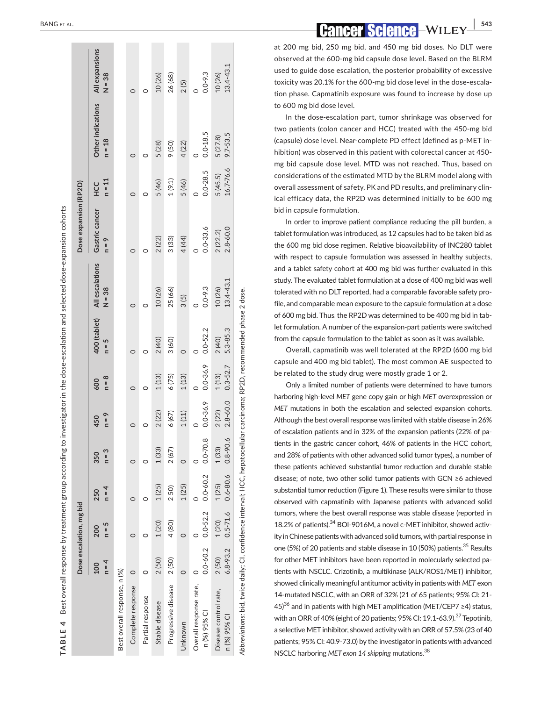|                                                                                                                          |                       | Dose escalation, mg bid |                       |                       |                   |                       |                         |                             | Dose expansion (RP2D)     |                        |                               |                            |
|--------------------------------------------------------------------------------------------------------------------------|-----------------------|-------------------------|-----------------------|-----------------------|-------------------|-----------------------|-------------------------|-----------------------------|---------------------------|------------------------|-------------------------------|----------------------------|
|                                                                                                                          | $n = 4$<br>100        | $n = 5$<br>200          | $n = 4$<br>250        | $n = 3$<br>350        | $n = 9$<br>450    | $n = 8$<br>600        | 400 (tablet)<br>$n = 5$ | All escalations<br>$N = 38$ | Gastric cancer<br>$n = 9$ | $n = 11$<br><b>HCC</b> | Other indications<br>$n = 18$ | All expansions<br>$N = 38$ |
| Best overall response, n (%)                                                                                             |                       |                         |                       |                       |                   |                       |                         |                             |                           |                        |                               |                            |
| Complete response                                                                                                        | $\circ$               |                         |                       |                       |                   | $\circ$               |                         | $\circ$                     |                           | 0                      | $\circ$                       |                            |
| Partial response                                                                                                         |                       |                         |                       |                       |                   | $\circ$               |                         |                             |                           |                        | O                             |                            |
| Stable disease                                                                                                           | 2(50)                 | 1(20)                   | 1(25)                 | 1(33)                 | 2(22)             | 1(13)                 | 2(40)                   | 10 (26)                     | 2(22)                     | 5 (46)                 | 5(28)                         | 10(26)                     |
| Progressive disease                                                                                                      | 2(50)                 | 4 (80)                  | 250)                  | 2(67)                 | 6(67)             | 6(75)                 | 3(60)                   | 25 (66)                     | 3(33)                     | 1(9.1)                 | 9(50)                         | 26 (68)                    |
| Unknown                                                                                                                  |                       | $\circ$                 | 1(25)                 | 0                     | 1(11)             | 1(13)                 | $\circ$                 | 3(5)                        | 4 (44)                    | 5 (46)                 | 4(22)                         | 2(5)                       |
| Overall response rate,<br>n (%) 95% CI                                                                                   | $0.0 - 60.2$          | $0.0 - 52.2$            | $0.0 - 60.2$          | œ<br>$0.0 - 70.$      | $0.0 - 36.9$      | $0.0 - 36.9$          | $0.0 - 52.2$            | $0.0 - 9.3$                 | $0.0 - 33.6$              | $0.0 - 28.5$           | $0.0 - 18.5$                  | $0.0 - 9.3$                |
| Disease control rate,<br>n (%) 95% Cl                                                                                    | $6.8 - 93.2$<br>2(50) | $0.5 - 71.6$<br>1(20)   | $0.6 - 80.6$<br>1(25) | $0.8 - 90.6$<br>1(33) | 2.8-60.0<br>2(22) | $0.3 - 52.7$<br>1(13) | 5.3-85.3<br>2(40)       | 13.4-43.1<br>10 (26)        | $2.8 - 60.0$<br>2(22.2)   | 16.7-76.6<br>5(45.5)   | $9.7 - 53.5$<br>5 (27.8)      | 13.4-43.1<br>10 (26)       |
| Abbreviations: bid, twice daily; CI, confidence interval; HCC, hepatocellular carcinoma; RP2D, recommended phase 2 dose. |                       |                         |                       |                       |                   |                       |                         |                             |                           |                        |                               |                            |

at 200 mg bid, 250 mg bid, and 450 mg bid doses. No DLT were observed at the 600-mg bid capsule dose level. Based on the BLRM used to guide dose escalation, the posterior probability of excessive toxicity was 20.1% for the 600-mg bid dose level in the dose-escala tion phase. Capmatinib exposure was found to increase by dose up to 600 mg bid dose level.

In the dose-escalation part, tumor shrinkage was observed for two patients (colon cancer and HCC) treated with the 450-mg bid (capsule) dose level. Near-complete PD effect (defined as p-MET in hibition) was observed in this patient with colorectal cancer at 450 mg bid capsule dose level. MTD was not reached. Thus, based on considerations of the estimated MTD by the BLRM model along with overall assessment of safety, PK and PD results, and preliminary clin ical efficacy data, the RP2D was determined initially to be 600 mg bid in capsule formulation.

In order to improve patient compliance reducing the pill burden, a tablet formulation was introduced, as 12 capsules had to be taken bid as the 600 mg bid dose regimen. Relative bioavailability of INC280 tablet with respect to capsule formulation was assessed in healthy subjects, and a tablet safety cohort at 400 mg bid was further evaluated in this study. The evaluated tablet formulation at a dose of 400 mg bid was well tolerated with no DLT reported, had a comparable favorable safety pro file, and comparable mean exposure to the capsule formulation at a dose of 600 mg bid. Thus , the RP2D was determined to be 400 mg bid in tab let formulation. A number of the expansion-part patients were switched from the capsule formulation to the tablet as soon as it was available.

Overall, capmatinib was well tolerated at the RP2D (600 mg bid capsule and 400 mg bid tablet). The most common AE suspected to be related to the study drug were mostly grade 1 or 2.

Only a limited number of patients were determined to have tumors harboring high-level *MET* gene copy gain or high *MET* overexpression or *MET* mutations in both the escalation and selected expansion cohorts. Although the best overall response was limited with stable disease in 26% of escalation patients and in 32% of the expansion patients (22% of pa tients in the gastric cancer cohort, 46% of patients in the HCC cohort, and 28% of patients with other advanced solid tumor types), a number of these patients achieved substantial tumor reduction and durable stable disease; of note, two other solid tumor patients with GCN ≥6 achieved substantial tumor reduction (Figure 1). These results were similar to those observed with capmatinib with Japanese patients with advanced solid tumors, where the best overall response was stable disease (reported in 18.2% of patients).<sup>34</sup> BOI-9016M, a novel c-MET inhibitor, showed activity in Chinese patients with advanced solid tumors, with partial response in one (5%) of 20 patients and stable disease in 10 (50%) patients.<sup>35</sup> Results for other MET inhibitors have been reported in molecularly selected pa tients with NSCLC. Crizotinib, a multikinase (ALK/ROS1/MET) inhibitor, showed clinically meaningful antitumor activity in patients with *MET* exon 14-mutated NSCLC, with an ORR of 32% (21 of 65 patients; 95% CI: 21- 45)<sup>36</sup> and in patients with high MET amplification (MET/CEP7 ≥4) status, with an ORR of 40% (eight of 20 patients; 95% CI: 19.1-63.9).<sup>37</sup> Tepotinib, a selective MET inhibitor, showed activity with an ORR of 57.5% (23 of 40 patients; 95% CI: 40.9-73.0) by the investigator in patients with advanced NSCLC harboring *MET exon 14 skipping* mutations.38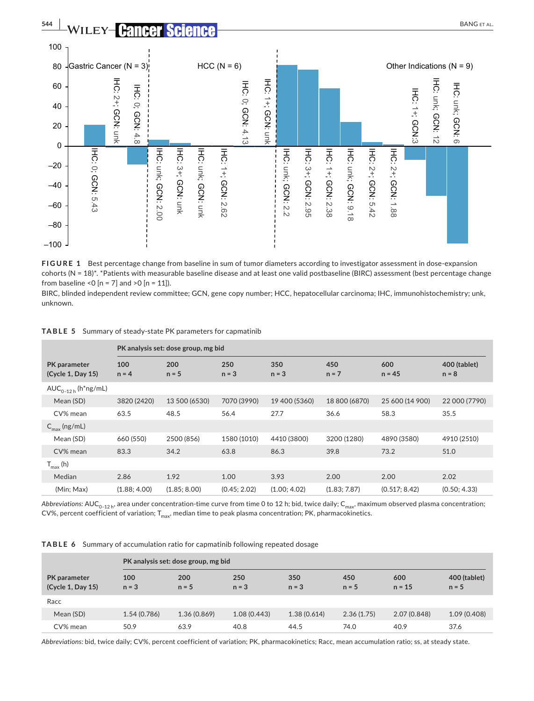

**FIGURE 1** Best percentage change from baseline in sum of tumor diameters according to investigator assessment in dose-expansion cohorts (N = 18)\*. \*Patients with measurable baseline disease and at least one valid postbaseline (BIRC) assessment (best percentage change from baseline <0  $[n = 7]$  and >0  $[n = 11]$ ).

BIRC, blinded independent review committee; GCN, gene copy number; HCC, hepatocellular carcinoma; IHC, immunohistochemistry; unk, unknown.

|  | TABLE 5 Summary of steady-state PK parameters for capmatinib |  |
|--|--------------------------------------------------------------|--|
|--|--------------------------------------------------------------|--|

|                                          |                | PK analysis set: dose group, mg bid |                |                |                |                 |                         |
|------------------------------------------|----------------|-------------------------------------|----------------|----------------|----------------|-----------------|-------------------------|
| <b>PK</b> parameter<br>(Cycle 1, Day 15) | 100<br>$n = 4$ | 200<br>$n = 5$                      | 250<br>$n = 3$ | 350<br>$n = 3$ | 450<br>$n = 7$ | 600<br>$n = 45$ | 400 (tablet)<br>$n = 8$ |
| $AUC_{0-12h}$ (h <sup>*</sup> ng/mL)     |                |                                     |                |                |                |                 |                         |
| Mean (SD)                                | 3820 (2420)    | 13 500 (6530)                       | 7070 (3990)    | 19 400 (5360)  | 18 800 (6870)  | 25 600 (14 900) | 22 000 (7790)           |
| CV% mean                                 | 63.5           | 48.5                                | 56.4           | 27.7           | 36.6           | 58.3            | 35.5                    |
| $C_{\text{max}}$ (ng/mL)                 |                |                                     |                |                |                |                 |                         |
| Mean (SD)                                | 660 (550)      | 2500 (856)                          | 1580 (1010)    | 4410 (3800)    | 3200 (1280)    | 4890 (3580)     | 4910 (2510)             |
| CV% mean                                 | 83.3           | 34.2                                | 63.8           | 86.3           | 39.8           | 73.2            | 51.0                    |
| $T_{\text{max}}$ (h)                     |                |                                     |                |                |                |                 |                         |
| Median                                   | 2.86           | 1.92                                | 1.00           | 3.93           | 2.00           | 2.00            | 2.02                    |
| (Min: Max)                               | (1.88; 4.00)   | (1.85; 8.00)                        | (0.45; 2.02)   | (1.00; 4.02)   | (1.83; 7.87)   | (0.517; 8.42)   | (0.50; 4.33)            |

*Abbreviations: AUC*<sub>0-12 h</sub>, area under concentration-time curve from time 0 to 12 h; bid, twice daily; C<sub>max</sub>, maximum observed plasma concentration; CV%, percent coefficient of variation;  $T_{max}$ , median time to peak plasma concentration; PK, pharmacokinetics.

**TABLE 6** Summary of accumulation ratio for capmatinib following repeated dosage

|                                          |                | PK analysis set: dose group, mg bid |                |                |                |                 |                         |
|------------------------------------------|----------------|-------------------------------------|----------------|----------------|----------------|-----------------|-------------------------|
| <b>PK</b> parameter<br>(Cycle 1, Day 15) | 100<br>$n = 3$ | 200<br>$n = 5$                      | 250<br>$n = 3$ | 350<br>$n = 3$ | 450<br>$n = 5$ | 600<br>$n = 15$ | 400 (tablet)<br>$n = 5$ |
| Racc                                     |                |                                     |                |                |                |                 |                         |
| Mean (SD)                                | 1.54(0.786)    | 1.36 (0.869)                        | 1.08 (0.443)   | 1.38 (0.614)   | 2.36(1.75)     | 2.07 (0.848)    | 1.09(0.408)             |
| CV% mean                                 | 50.9           | 63.9                                | 40.8           | 44.5           | 74.0           | 40.9            | 37.6                    |

*Abbreviations:* bid, twice daily; CV%, percent coefficient of variation; PK, pharmacokinetics; Racc, mean accumulation ratio; ss, at steady state.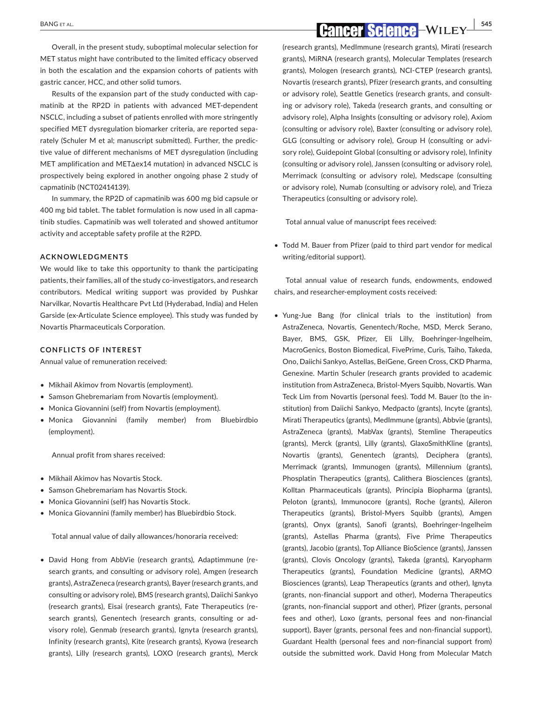Overall, in the present study, suboptimal molecular selection for MET status might have contributed to the limited efficacy observed in both the escalation and the expansion cohorts of patients with gastric cancer, HCC, and other solid tumors.

Results of the expansion part of the study conducted with capmatinib at the RP2D in patients with advanced MET-dependent NSCLC, including a subset of patients enrolled with more stringently specified MET dysregulation biomarker criteria, are reported separately (Schuler M et al; manuscript submitted). Further, the predictive value of different mechanisms of MET dysregulation (including MET amplification and METΔex14 mutation) in advanced NSCLC is prospectively being explored in another ongoing phase 2 study of capmatinib (NCT02414139).

In summary, the RP2D of capmatinib was 600 mg bid capsule or 400 mg bid tablet. The tablet formulation is now used in all capmatinib studies. Capmatinib was well tolerated and showed antitumor activity and acceptable safety profile at the R2PD.

### **ACKNOWLEDGMENTS**

We would like to take this opportunity to thank the participating patients, their families, all of the study co-investigators, and research contributors. Medical writing support was provided by Pushkar Narvilkar, Novartis Healthcare Pvt Ltd (Hyderabad, India) and Helen Garside (ex-Articulate Science employee). This study was funded by Novartis Pharmaceuticals Corporation.

### **CONFLICTS OF INTEREST**

Annual value of remuneration received:

- Mikhail Akimov from Novartis (employment).
- Samson Ghebremariam from Novartis (employment).
- Monica Giovannini (self) from Novartis (employment).
- Monica Giovannini (family member) from Bluebirdbio (employment).

Annual profit from shares received:

- Mikhail Akimov has Novartis Stock.
- Samson Ghebremariam has Novartis Stock.
- Monica Giovannini (self) has Novartis Stock.
- Monica Giovannini (family member) has Bluebirdbio Stock.

Total annual value of daily allowances/honoraria received:

• David Hong from AbbVie (research grants), Adaptimmune (research grants, and consulting or advisory role), Amgen (research grants), AstraZeneca (research grants), Bayer (research grants, and consulting or advisory role), BMS (research grants), Daiichi Sankyo (research grants), Eisai (research grants), Fate Therapeutics (research grants), Genentech (research grants, consulting or advisory role), Genmab (research grants), Ignyta (research grants), Infinity (research grants), Kite (research grants), Kyowa (research grants), Lilly (research grants), LOXO (research grants), Merck

 **BANG ET AL. CANGET AL. CANGET AL. CANGET AL. CANGET AL. CANGET AL. EXECUTE:** 

(research grants), MedImmune (research grants), Mirati (research grants), MiRNA (research grants), Molecular Templates (research grants), Mologen (research grants), NCI-CTEP (research grants), Novartis (research grants), Pfizer (research grants, and consulting or advisory role), Seattle Genetics (research grants, and consulting or advisory role), Takeda (research grants, and consulting or advisory role), Alpha Insights (consulting or advisory role), Axiom (consulting or advisory role), Baxter (consulting or advisory role), GLG (consulting or advisory role), Group H (consulting or advisory role), Guidepoint Global (consulting or advisory role), Infinity (consulting or advisory role), Janssen (consulting or advisory role), Merrimack (consulting or advisory role), Medscape (consulting or advisory role), Numab (consulting or advisory role), and Trieza Therapeutics (consulting or advisory role).

Total annual value of manuscript fees received:

• Todd M. Bauer from Pfizer (paid to third part vendor for medical writing/editorial support).

Total annual value of research funds, endowments, endowed chairs, and researcher-employment costs received:

• Yung-Jue Bang (for clinical trials to the institution) from AstraZeneca, Novartis, Genentech/Roche, MSD, Merck Serano, Bayer, BMS, GSK, Pfizer, Eli Lilly, Boehringer-Ingelheim, MacroGenics, Boston Biomedical, FivePrime, Curis, Taiho, Takeda, Ono, Daiichi Sankyo, Astellas, BeiGene, Green Cross, CKD Pharma, Genexine. Martin Schuler (research grants provided to academic institution from AstraZeneca, Bristol-Myers Squibb, Novartis. Wan Teck Lim from Novartis (personal fees). Todd M. Bauer (to the institution) from Daiichi Sankyo, Medpacto (grants), Incyte (grants), Mirati Therapeutics (grants), MedImmune (grants), Abbvie (grants), AstraZeneca (grants), MabVax (grants), Stemline Therapeutics (grants), Merck (grants), Lilly (grants), GlaxoSmithKline (grants), Novartis (grants), Genentech (grants), Deciphera (grants), Merrimack (grants), Immunogen (grants), Millennium (grants), Phosplatin Therapeutics (grants), Calithera Biosciences (grants), Kolltan Pharmaceuticals (grants), Principia Biopharma (grants), Peloton (grants), Immunocore (grants), Roche (grants), Aileron Therapeutics (grants), Bristol-Myers Squibb (grants), Amgen (grants), Onyx (grants), Sanofi (grants), Boehringer-Ingelheim (grants), Astellas Pharma (grants), Five Prime Therapeutics (grants), Jacobio (grants), Top Alliance BioScience (grants), Janssen (grants), Clovis Oncology (grants), Takeda (grants), Karyopharm Therapeutics (grants), Foundation Medicine (grants), ARMO Biosciences (grants), Leap Therapeutics (grants and other), Ignyta (grants, non-financial support and other), Moderna Therapeutics (grants, non-financial support and other), Pfizer (grants, personal fees and other), Loxo (grants, personal fees and non-financial support), Bayer (grants, personal fees and non-financial support), Guardant Health (personal fees and non-financial support from) outside the submitted work. David Hong from Molecular Match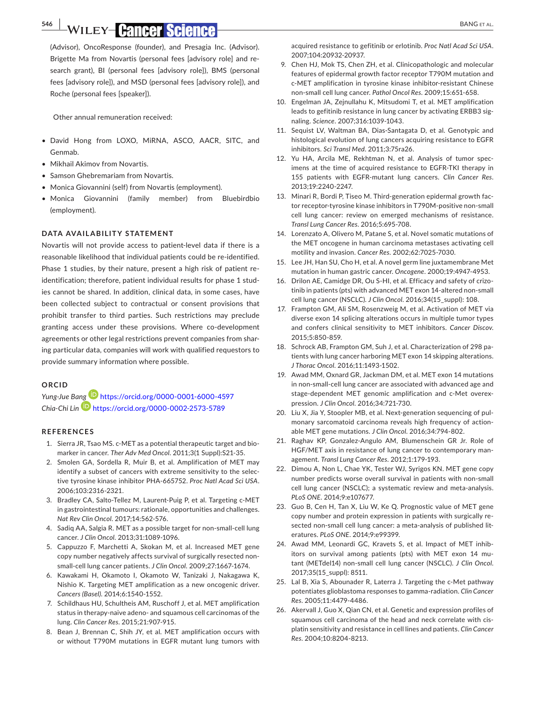(Advisor), OncoResponse (founder), and Presagia Inc. (Advisor). Brigette Ma from Novartis (personal fees [advisory role] and research grant), BI (personal fees [advisory role]), BMS (personal fees [advisory role]), and MSD (personal fees [advisory role]), and Roche (personal fees [speaker]).

Other annual remuneration received:

- David Hong from LOXO, MiRNA, ASCO, AACR, SITC, and Genmab.
- Mikhail Akimov from Novartis.
- Samson Ghebremariam from Novartis.
- Monica Giovannini (self) from Novartis (employment).
- Monica Giovannini (family member) from Bluebirdbio (employment).

### **DATA AVAILABILITY STATEMENT**

Novartis will not provide access to patient-level data if there is a reasonable likelihood that individual patients could be re-identified. Phase 1 studies, by their nature, present a high risk of patient reidentification; therefore, patient individual results for phase 1 studies cannot be shared. In addition, clinical data, in some cases, have been collected subject to contractual or consent provisions that prohibit transfer to third parties. Such restrictions may preclude granting access under these provisions. Where co-development agreements or other legal restrictions prevent companies from sharing particular data, companies will work with qualified requestors to provide summary information where possible.

### **ORCID**

*Yung-Jue B[ang](https://orcid.org/0000-0002-2573-5789)* <https://orcid.org/0000-0001-6000-4597> *Chia-Chi Lin* <https://orcid.org/0000-0002-2573-5789>

### **REFERENCES**

- 1. Sierra JR, Tsao MS. c-MET as a potential therapeutic target and biomarker in cancer. *Ther Adv Med Oncol*. 2011;3(1 Suppl):S21-35.
- 2. Smolen GA, Sordella R, Muir B, et al. Amplification of MET may identify a subset of cancers with extreme sensitivity to the selective tyrosine kinase inhibitor PHA-665752. *Proc Natl Acad Sci USA*. 2006;103:2316-2321.
- 3. Bradley CA, Salto-Tellez M, Laurent-Puig P, et al. Targeting c-MET in gastrointestinal tumours: rationale, opportunities and challenges. *Nat Rev Clin Oncol*. 2017;14:562-576.
- 4. Sadiq AA, Salgia R. MET as a possible target for non-small-cell lung cancer. *J Clin Oncol*. 2013;31:1089-1096.
- 5. Cappuzzo F, Marchetti A, Skokan M, et al. Increased MET gene copy number negatively affects survival of surgically resected nonsmall-cell lung cancer patients. *J Clin Oncol*. 2009;27:1667-1674.
- 6. Kawakami H, Okamoto I, Okamoto W, Tanizaki J, Nakagawa K, Nishio K. Targeting MET amplification as a new oncogenic driver. *Cancers (Basel)*. 2014;6:1540-1552.
- 7. Schildhaus HU, Schultheis AM, Ruschoff J, et al. MET amplification status in therapy-naive adeno- and squamous cell carcinomas of the lung. *Clin Cancer Res*. 2015;21:907-915.
- 8. Bean J, Brennan C, Shih JY, et al. MET amplification occurs with or without T790M mutations in EGFR mutant lung tumors with

acquired resistance to gefitinib or erlotinib. *Proc Natl Acad Sci USA*. 2007;104:20932-20937.

- 9. Chen HJ, Mok TS, Chen ZH, et al. Clinicopathologic and molecular features of epidermal growth factor receptor T790M mutation and c-MET amplification in tyrosine kinase inhibitor-resistant Chinese non-small cell lung cancer. *Pathol Oncol Res*. 2009;15:651-658.
- 10. Engelman JA, Zejnullahu K, Mitsudomi T, et al. MET amplification leads to gefitinib resistance in lung cancer by activating ERBB3 signaling. *Science*. 2007;316:1039-1043.
- 11. Sequist LV, Waltman BA, Dias-Santagata D, et al. Genotypic and histological evolution of lung cancers acquiring resistance to EGFR inhibitors. *Sci Transl Med*. 2011;3:75ra26.
- 12. Yu HA, Arcila ME, Rekhtman N, et al. Analysis of tumor specimens at the time of acquired resistance to EGFR-TKI therapy in 155 patients with EGFR-mutant lung cancers. *Clin Cancer Res*. 2013;19:2240-2247.
- 13. Minari R, Bordi P, Tiseo M. Third-generation epidermal growth factor receptor-tyrosine kinase inhibitors in T790M-positive non-small cell lung cancer: review on emerged mechanisms of resistance. *Transl Lung Cancer Res*. 2016;5:695-708.
- 14. Lorenzato A, Olivero M, Patane S, et al. Novel somatic mutations of the MET oncogene in human carcinoma metastases activating cell motility and invasion. *Cancer Res*. 2002;62:7025-7030.
- 15. Lee JH, Han SU, Cho H, et al. A novel germ line juxtamembrane Met mutation in human gastric cancer. *Oncogene*. 2000;19:4947-4953.
- 16. Drilon AE, Camidge DR, Ou S-HI, et al. Efficacy and safety of crizotinib in patients (pts) with advanced MET exon 14-altered non-small cell lung cancer (NSCLC). *J Clin Oncol*. 2016;34(15\_suppl): 108.
- 17. Frampton GM, Ali SM, Rosenzweig M, et al. Activation of MET via diverse exon 14 splicing alterations occurs in multiple tumor types and confers clinical sensitivity to MET inhibitors. *Cancer Discov*. 2015;5:850-859.
- 18. Schrock AB, Frampton GM, Suh J, et al. Characterization of 298 patients with lung cancer harboring MET exon 14 skipping alterations. *J Thorac Oncol*. 2016;11:1493-1502.
- 19. Awad MM, Oxnard GR, Jackman DM, et al. MET exon 14 mutations in non-small-cell lung cancer are associated with advanced age and stage-dependent MET genomic amplification and c-Met overexpression. *J Clin Oncol*. 2016;34:721-730.
- 20. Liu X, Jia Y, Stoopler MB, et al. Next-generation sequencing of pulmonary sarcomatoid carcinoma reveals high frequency of actionable MET gene mutations. *J Clin Oncol*. 2016;34:794-802.
- 21. Raghav KP, Gonzalez-Angulo AM, Blumenschein GR Jr. Role of HGF/MET axis in resistance of lung cancer to contemporary management. *Transl Lung Cancer Res*. 2012;1:179-193.
- 22. Dimou A, Non L, Chae YK, Tester WJ, Syrigos KN. MET gene copy number predicts worse overall survival in patients with non-small cell lung cancer (NSCLC); a systematic review and meta-analysis. *PLoS ONE*. 2014;9:e107677.
- 23. Guo B, Cen H, Tan X, Liu W, Ke Q. Prognostic value of MET gene copy number and protein expression in patients with surgically resected non-small cell lung cancer: a meta-analysis of published literatures. *PLoS ONE*. 2014;9:e99399.
- 24. Awad MM, Leonardi GC, Kravets S, et al. Impact of MET inhibitors on survival among patients (pts) with MET exon 14 mutant (METdel14) non-small cell lung cancer (NSCLC). *J Clin Oncol*. 2017;35(15\_suppl): 8511.
- 25. Lal B, Xia S, Abounader R, Laterra J. Targeting the c-Met pathway potentiates glioblastoma responses to gamma-radiation. *Clin Cancer Res*. 2005;11:4479-4486.
- 26. Akervall J, Guo X, Qian CN, et al. Genetic and expression profiles of squamous cell carcinoma of the head and neck correlate with cisplatin sensitivity and resistance in cell lines and patients. *Clin Cancer Res*. 2004;10:8204-8213.